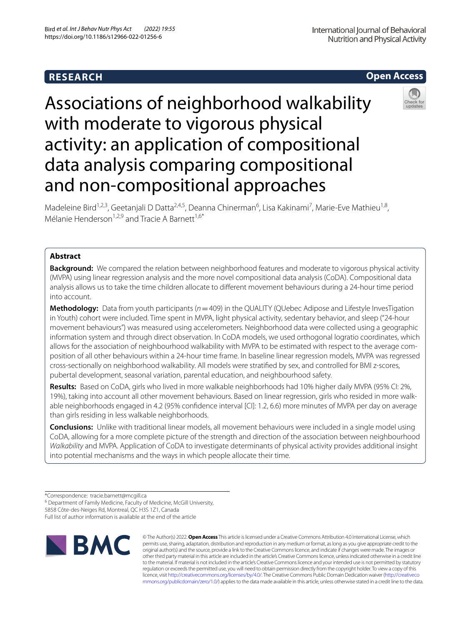# **RESEARCH**



# Associations of neighborhood walkability with moderate to vigorous physical activity: an application of compositional data analysis comparing compositional and non-compositional approaches



Madeleine Bird<sup>1,2,3</sup>, Geetanjali D Datta<sup>2,4,5</sup>, Deanna Chinerman<sup>6</sup>, Lisa Kakinami<sup>7</sup>, Marie-Eve Mathieu<sup>1,8</sup>, Mélanie Henderson<sup>1,2,9</sup> and Tracie A Barnett<sup>1,6\*</sup>

# **Abstract**

**Background:** We compared the relation between neighborhood features and moderate to vigorous physical activity (MVPA) using linear regression analysis and the more novel compositional data analysis (CoDA). Compositional data analysis allows us to take the time children allocate to diferent movement behaviours during a 24-hour time period into account.

**Methodology:** Data from youth participants ( $n=409$ ) in the QUALITY (QUebec Adipose and Lifestyle InvesTigation in Youth) cohort were included. Time spent in MVPA, light physical activity, sedentary behavior, and sleep ("24-hour movement behaviours") was measured using accelerometers. Neighborhood data were collected using a geographic information system and through direct observation. In CoDA models, we used orthogonal logratio coordinates, which allows for the association of neighbourhood walkability with MVPA to be estimated with respect to the average composition of all other behaviours within a 24-hour time frame. In baseline linear regression models, MVPA was regressed cross-sectionally on neighborhood walkability. All models were stratifed by sex, and controlled for BMI z-scores, pubertal development, seasonal variation, parental education, and neighbourhood safety.

**Results:** Based on CoDA, girls who lived in more walkable neighborhoods had 10% higher daily MVPA (95% CI: 2%, 19%), taking into account all other movement behaviours. Based on linear regression, girls who resided in more walkable neighborhoods engaged in 4.2 (95% confdence interval [CI]: 1.2, 6.6) more minutes of MVPA per day on average than girls residing in less walkable neighborhoods.

**Conclusions:** Unlike with traditional linear models, all movement behaviours were included in a single model using CoDA, allowing for a more complete picture of the strength and direction of the association between neighbourhood *Walkability* and MVPA. Application of CoDA to investigate determinants of physical activity provides additional insight into potential mechanisms and the ways in which people allocate their time.

<sup>6</sup> Department of Family Medicine, Faculty of Medicine, McGill University,

5858 Côte‑des‑Neiges Rd, Montreal, QC H3S 1Z1, Canada

Full list of author information is available at the end of the article



© The Author(s) 2022. **Open Access** This article is licensed under a Creative Commons Attribution 4.0 International License, which permits use, sharing, adaptation, distribution and reproduction in any medium or format, as long as you give appropriate credit to the original author(s) and the source, provide a link to the Creative Commons licence, and indicate if changes were made. The images or other third party material in this article are included in the article's Creative Commons licence, unless indicated otherwise in a credit line to the material. If material is not included in the article's Creative Commons licence and your intended use is not permitted by statutory regulation or exceeds the permitted use, you will need to obtain permission directly from the copyright holder. To view a copy of this licence, visit [http://creativecommons.org/licenses/by/4.0/.](http://creativecommons.org/licenses/by/4.0/) The Creative Commons Public Domain Dedication waiver ([http://creativeco](http://creativecommons.org/publicdomain/zero/1.0/) [mmons.org/publicdomain/zero/1.0/](http://creativecommons.org/publicdomain/zero/1.0/)) applies to the data made available in this article, unless otherwise stated in a credit line to the data.

<sup>\*</sup>Correspondence: tracie.barnett@mcgill.ca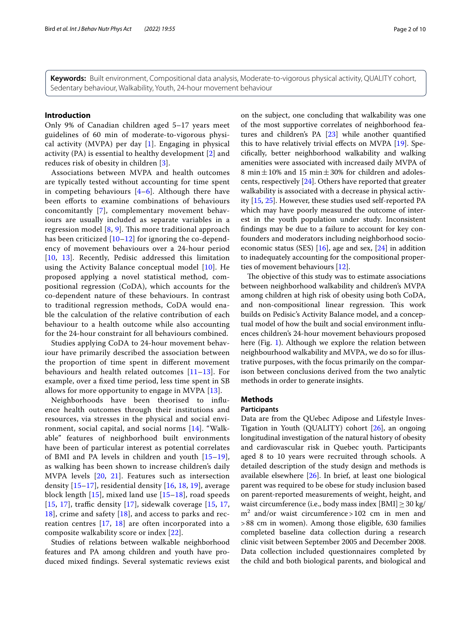**Keywords:** Built environment, Compositional data analysis, Moderate-to-vigorous physical activity, QUALITY cohort, Sedentary behaviour, Walkability, Youth, 24-hour movement behaviour

# **Introduction**

Only 9% of Canadian children aged 5–17 years meet guidelines of 60 min of moderate-to-vigorous physical activity (MVPA) per day  $[1]$  $[1]$ . Engaging in physical activity (PA) is essential to healthy development [\[2](#page-8-1)] and reduces risk of obesity in children [[3\]](#page-9-0).

Associations between MVPA and health outcomes are typically tested without accounting for time spent in competing behaviours [[4–](#page-9-1)[6\]](#page-9-2). Although there have been efforts to examine combinations of behaviours concomitantly [[7\]](#page-9-3), complementary movement behaviours are usually included as separate variables in a regression model  $[8, 9]$  $[8, 9]$  $[8, 9]$ . This more traditional approach has been criticized  $[10-12]$  $[10-12]$  for ignoring the co-dependency of movement behaviours over a 24-hour period [[10](#page-9-6), [13\]](#page-9-8). Recently, Pedisic addressed this limitation using the Activity Balance conceptual model [[10\]](#page-9-6). He proposed applying a novel statistical method, compositional regression (CoDA), which accounts for the co-dependent nature of these behaviours. In contrast to traditional regression methods, CoDA would enable the calculation of the relative contribution of each behaviour to a health outcome while also accounting for the 24-hour constraint for all behaviours combined.

Studies applying CoDA to 24-hour movement behaviour have primarily described the association between the proportion of time spent in diferent movement behaviours and health related outcomes [[11](#page-9-9)[–13](#page-9-8)]. For example, over a fxed time period, less time spent in SB allows for more opportunity to engage in MVPA [\[13](#page-9-8)].

Neighborhoods have been theorised to infuence health outcomes through their institutions and resources, via stresses in the physical and social environment, social capital, and social norms [[14](#page-9-10)]. "Walkable" features of neighborhood built environments have been of particular interest as potential correlates of BMI and PA levels in children and youth [[15–](#page-9-11)[19\]](#page-9-12), as walking has been shown to increase children's daily MVPA levels [\[20](#page-9-13), [21](#page-9-14)]. Features such as intersection density [[15](#page-9-11)–[17](#page-9-15)], residential density [[16,](#page-9-16) [18,](#page-9-17) [19\]](#page-9-12), average block length [[15\]](#page-9-11), mixed land use [\[15](#page-9-11)[–18\]](#page-9-17), road speeds [[15](#page-9-11), [17\]](#page-9-15), traffic density  $[17]$  $[17]$  $[17]$ , sidewalk coverage  $[15, 17, 17]$  $[15, 17, 17]$ [18\]](#page-9-17), crime and safety [[18\]](#page-9-17), and access to parks and recreation centres [[17,](#page-9-15) [18](#page-9-17)] are often incorporated into a composite walkability score or index [[22](#page-9-18)].

Studies of relations between walkable neighborhood features and PA among children and youth have produced mixed fndings. Several systematic reviews exist on the subject, one concluding that walkability was one of the most supportive correlates of neighborhood features and children's PA [[23\]](#page-9-19) while another quantifed this to have relatively trivial efects on MVPA [[19\]](#page-9-12). Specifcally, better neighborhood walkability and walking amenities were associated with increased daily MVPA of 8 min $\pm$ 10% and 15 min $\pm$ 30% for children and adolescents, respectively [\[24](#page-9-20)]. Others have reported that greater walkability is associated with a decrease in physical activity [[15,](#page-9-11) [25](#page-9-21)]. However, these studies used self-reported PA which may have poorly measured the outcome of interest in the youth population under study. Inconsistent fndings may be due to a failure to account for key confounders and moderators including neighborhood socioeconomic status (SES) [[16\]](#page-9-16), age and sex, [\[24](#page-9-20)] in addition to inadequately accounting for the compositional properties of movement behaviours [[12\]](#page-9-7).

The objective of this study was to estimate associations between neighborhood walkability and children's MVPA among children at high risk of obesity using both CoDA, and non-compositional linear regression. This work builds on Pedisic's Activity Balance model, and a conceptual model of how the built and social environment infuences children's 24-hour movement behaviours proposed here (Fig. [1\)](#page-2-0). Although we explore the relation between neighbourhood walkability and MVPA, we do so for illustrative purposes, with the focus primarily on the comparison between conclusions derived from the two analytic methods in order to generate insights.

# **Methods**

# **Participants**

Data are from the QUebec Adipose and Lifestyle Inves-Tigation in Youth (QUALITY) cohort [\[26\]](#page-9-22), an ongoing longitudinal investigation of the natural history of obesity and cardiovascular risk in Quebec youth. Participants aged 8 to 10 years were recruited through schools. A detailed description of the study design and methods is available elsewhere [[26\]](#page-9-22). In brief, at least one biological parent was required to be obese for study inclusion based on parent-reported measurements of weight, height, and waist circumference (i.e., body mass index  $[BMI] \geq 30$  kg/ m2 and/or waist circumference>102 cm in men and >88 cm in women). Among those eligible, 630 families completed baseline data collection during a research clinic visit between September 2005 and December 2008. Data collection included questionnaires completed by the child and both biological parents, and biological and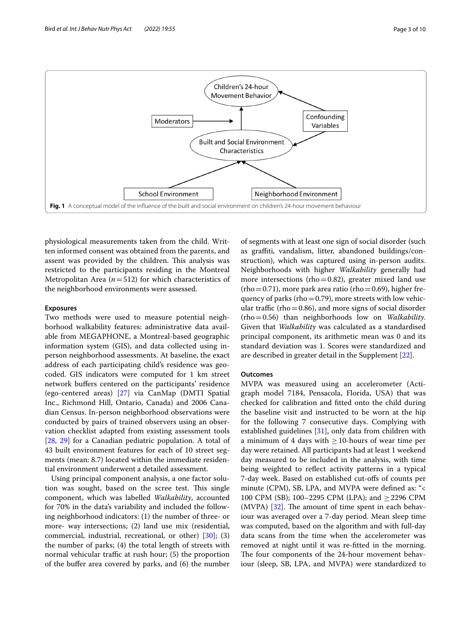

<span id="page-2-0"></span>physiological measurements taken from the child. Written informed consent was obtained from the parents, and assent was provided by the children. This analysis was restricted to the participants residing in the Montreal Metropolitan Area ( $n = 512$ ) for which characteristics of the neighborhood environments were assessed.

## **Exposures**

Two methods were used to measure potential neighborhood walkability features: administrative data available from MEGAPHONE, a Montreal-based geographic information system (GIS), and data collected using inperson neighborhood assessments. At baseline, the exact address of each participating child's residence was geocoded. GIS indicators were computed for 1 km street network buffers centered on the participants' residence (ego-centered areas) [\[27](#page-9-23)] via CanMap (DMTI Spatial Inc., Richmond Hill, Ontario, Canada) and 2006 Canadian Census. In-person neighborhood observations were conducted by pairs of trained observers using an observation checklist adapted from existing assessment tools [[28,](#page-9-24) [29](#page-9-25)] for a Canadian pediatric population. A total of 43 built environment features for each of 10 street segments (mean: 8.7) located within the immediate residential environment underwent a detailed assessment.

Using principal component analysis, a one factor solution was sought, based on the scree test. This single component, which was labelled *Walkability*, accounted for 70% in the data's variability and included the following neighborhood indicators: (1) the number of three- or more- way intersections; (2) land use mix (residential, commercial, industrial, recreational, or other) [[30](#page-9-26)]; (3) the number of parks; (4) the total length of streets with normal vehicular traffic at rush hour;  $(5)$  the proportion of the bufer area covered by parks, and (6) the number of segments with at least one sign of social disorder (such as grafti, vandalism, litter, abandoned buildings/construction), which was captured using in-person audits. Neighborhoods with higher *Walkability* generally had more intersections (rho=0.82), greater mixed land use  $(rho=0.71)$ , more park area ratio (rho = 0.69), higher frequency of parks (rho=0.79), more streets with low vehicular traffic (rho=0.86), and more signs of social disorder (rho=0.56) than neighborhoods low on *Walkability*. Given that *Walkability* was calculated as a standardised principal component, its arithmetic mean was 0 and its standard deviation was 1. Scores were standardized and are described in greater detail in the Supplement [[22](#page-9-18)].

## **Outcomes**

MVPA was measured using an accelerometer (Actigraph model 7184, Pensacola, Florida, USA) that was checked for calibration and ftted onto the child during the baseline visit and instructed to be worn at the hip for the following 7 consecutive days. Complying with established guidelines [[31\]](#page-9-27), only data from children with a minimum of 4 days with  $\geq$  10-hours of wear time per day were retained. All participants had at least 1 weekend day measured to be included in the analysis, with time being weighted to refect activity patterns in a typical 7-day week. Based on established cut-ofs of counts per minute (CPM), SB, LPA, and MVPA were defned as: "< 100 CPM (SB); 100–2295 CPM (LPA); and ≥2296 CPM  $(MVPA)$  [[32](#page-9-28)]. The amount of time spent in each behaviour was averaged over a 7-day period. Mean sleep time was computed, based on the algorithm and with full-day data scans from the time when the accelerometer was removed at night until it was re-ftted in the morning. The four components of the 24-hour movement behaviour (sleep, SB, LPA, and MVPA) were standardized to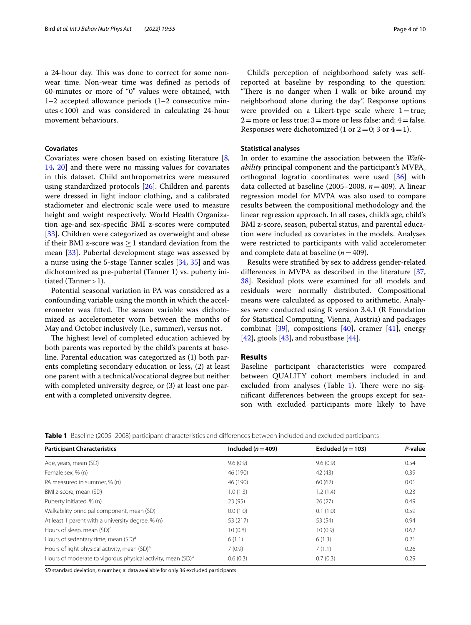a 24-hour day. This was done to correct for some nonwear time. Non-wear time was defned as periods of 60-minutes or more of "0" values were obtained, with 1–2 accepted allowance periods (1–2 consecutive minutes<100) and was considered in calculating 24-hour movement behaviours.

# **Covariates**

Covariates were chosen based on existing literature [\[8](#page-9-4), [14,](#page-9-10) [20](#page-9-13)] and there were no missing values for covariates in this dataset. Child anthropometrics were measured using standardized protocols [\[26](#page-9-22)]. Children and parents were dressed in light indoor clothing, and a calibrated stadiometer and electronic scale were used to measure height and weight respectively. World Health Organization age-and sex-specifc BMI z-scores were computed [[33\]](#page-9-29). Children were categorized as overweight and obese if their BMI z-score was  $>1$  standard deviation from the mean [\[33\]](#page-9-29). Pubertal development stage was assessed by a nurse using the 5-stage Tanner scales [[34,](#page-9-30) [35\]](#page-9-31) and was dichotomized as pre-pubertal (Tanner 1) vs. puberty initiated (Tanner  $>1$ ).

Potential seasonal variation in PA was considered as a confounding variable using the month in which the accelerometer was fitted. The season variable was dichotomized as accelerometer worn between the months of May and October inclusively (i.e., summer), versus not.

The highest level of completed education achieved by both parents was reported by the child's parents at baseline. Parental education was categorized as (1) both parents completing secondary education or less, (2) at least one parent with a technical/vocational degree but neither with completed university degree, or (3) at least one parent with a completed university degree.

Child's perception of neighborhood safety was selfreported at baseline by responding to the question: "There is no danger when I walk or bike around my neighborhood alone during the day". Response options were provided on a Likert-type scale where  $1=$ true;  $2$ =more or less true;  $3$ =more or less false: and;  $4$ =false. Responses were dichotomized (1 or  $2=0$ ; 3 or  $4=1$ ).

## **Statistical analyses**

In order to examine the association between the *Walkability* principal component and the participant's MVPA, orthogonal logratio coordinates were used [\[36](#page-9-32)] with data collected at baseline (2005–2008, *n*=409). A linear regression model for MVPA was also used to compare results between the compositional methodology and the linear regression approach. In all cases, child's age, child's BMI z-score, season, pubertal status, and parental education were included as covariates in the models. Analyses were restricted to participants with valid accelerometer and complete data at baseline (*n*=409).

Results were stratifed by sex to address gender-related diferences in MVPA as described in the literature [[37](#page-9-33), [38\]](#page-9-34). Residual plots were examined for all models and residuals were normally distributed. Compositional means were calculated as opposed to arithmetic. Analyses were conducted using R version 3.4.1 (R Foundation for Statistical Computing, Vienna, Austria) and packages combinat  $[39]$  $[39]$ , compositions  $[40]$ , cramer  $[41]$  $[41]$ , energy  $[42]$  $[42]$ , gtools  $[43]$  $[43]$ , and robustbase  $[44]$  $[44]$ .

# **Results**

Baseline participant characteristics were compared between QUALITY cohort members included in and excluded from analyses (Table [1](#page-3-0)). There were no signifcant diferences between the groups except for season with excluded participants more likely to have

<span id="page-3-0"></span>

|  |  |  | Table 1 Baseline (2005–2008) participant characteristics and differences between included and excluded participants |  |  |  |  |
|--|--|--|---------------------------------------------------------------------------------------------------------------------|--|--|--|--|
|--|--|--|---------------------------------------------------------------------------------------------------------------------|--|--|--|--|

| <b>Participant Characteristics</b>                                      | Included ( $n = 409$ ) | Excluded ( $n = 103$ ) | P-value |
|-------------------------------------------------------------------------|------------------------|------------------------|---------|
| Age, years, mean (SD)                                                   | 9.6(0.9)               | 9.6(0.9)               | 0.54    |
| Female sex, % (n)                                                       | 46 (190)               | 42(43)                 | 0.39    |
| PA measured in summer, % (n)                                            | 46 (190)               | 60(62)                 | 0.01    |
| BMI z-score, mean (SD)                                                  | 1.0(1.3)               | 1.2(1.4)               | 0.23    |
| Puberty initiated, % (n)                                                | 23(95)                 | 26(27)                 | 0.49    |
| Walkability principal component, mean (SD)                              | 0.0(1.0)               | 0.1(1.0)               | 0.59    |
| At least 1 parent with a university degree, % (n)                       | 53 (217)               | 53 (54)                | 0.94    |
| Hours of sleep, mean (SD) <sup>a</sup>                                  | 10(0.8)                | 10(0.9)                | 0.62    |
| Hours of sedentary time, mean (SD) <sup>a</sup>                         | 6(1.1)                 | 6(1.3)                 | 0.21    |
| Hours of light physical activity, mean (SD) <sup>a</sup>                | 7(0.9)                 | 7(1.1)                 | 0.26    |
| Hours of moderate to vigorous physical activity, mean (SD) <sup>a</sup> | 0.6(0.3)               | 0.7(0.3)               | 0.29    |

*SD* standard deviation, *n* number; a: data available for only 36 excluded participants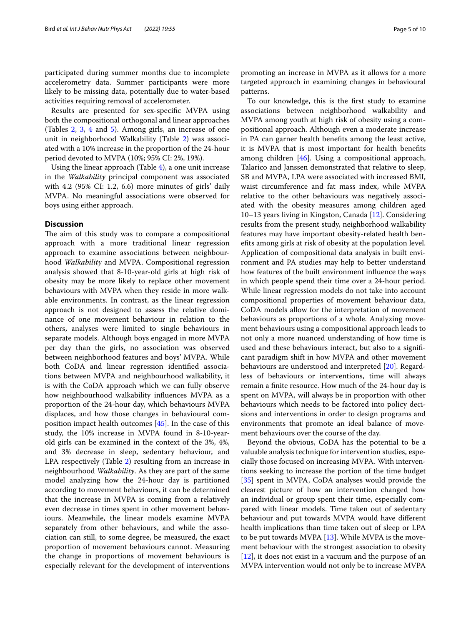participated during summer months due to incomplete accelerometry data. Summer participants were more likely to be missing data, potentially due to water-based activities requiring removal of accelerometer.

Results are presented for sex-specifc MVPA using both the compositional orthogonal and linear approaches (Tables [2,](#page-5-0) [3,](#page-6-0) [4](#page-6-1) and [5\)](#page-7-0). Among girls, an increase of one unit in neighborhood Walkability (Table [2\)](#page-5-0) was associated with a 10% increase in the proportion of the 24-hour period devoted to MVPA (10%; 95% CI: 2%, 19%).

Using the linear approach (Table [4\)](#page-6-1), a one unit increase in the *Walkability* principal component was associated with 4.2 (95% CI: 1.2, 6.6) more minutes of girls' daily MVPA. No meaningful associations were observed for boys using either approach.

# **Discussion**

The aim of this study was to compare a compositional approach with a more traditional linear regression approach to examine associations between neighbourhood *Walkability* and MVPA. Compositional regression analysis showed that 8-10-year-old girls at high risk of obesity may be more likely to replace other movement behaviours with MVPA when they reside in more walkable environments. In contrast, as the linear regression approach is not designed to assess the relative dominance of one movement behaviour in relation to the others, analyses were limited to single behaviours in separate models. Although boys engaged in more MVPA per day than the girls, no association was observed between neighborhood features and boys' MVPA. While both CoDA and linear regression identifed associations between MVPA and neighbourhood walkability, it is with the CoDA approach which we can fully observe how neighbourhood walkability infuences MVPA as a proportion of the 24-hour day, which behaviours MVPA displaces, and how those changes in behavioural composition impact health outcomes [[45](#page-9-41)]. In the case of this study, the 10% increase in MVPA found in 8-10-yearold girls can be examined in the context of the 3%, 4%, and 3% decrease in sleep, sedentary behaviour, and LPA respectively (Table [2](#page-5-0)) resulting from an increase in neighbourhood *Walkability*. As they are part of the same model analyzing how the 24-hour day is partitioned according to movement behaviours, it can be determined that the increase in MVPA is coming from a relatively even decrease in times spent in other movement behaviours. Meanwhile, the linear models examine MVPA separately from other behaviours, and while the association can still, to some degree, be measured, the exact proportion of movement behaviours cannot. Measuring the change in proportions of movement behaviours is especially relevant for the development of interventions promoting an increase in MVPA as it allows for a more targeted approach in examining changes in behavioural patterns.

To our knowledge, this is the frst study to examine associations between neighborhood walkability and MVPA among youth at high risk of obesity using a compositional approach. Although even a moderate increase in PA can garner health benefts among the least active, it is MVPA that is most important for health benefts among children [[46\]](#page-9-42). Using a compositional approach, Talarico and Janssen demonstrated that relative to sleep, SB and MVPA, LPA were associated with increased BMI, waist circumference and fat mass index, while MVPA relative to the other behaviours was negatively associated with the obesity measures among children aged 10–13 years living in Kingston, Canada [[12\]](#page-9-7). Considering results from the present study, neighborhood walkability features may have important obesity-related health benefts among girls at risk of obesity at the population level. Application of compositional data analysis in built environment and PA studies may help to better understand how features of the built environment infuence the ways in which people spend their time over a 24-hour period. While linear regression models do not take into account compositional properties of movement behaviour data, CoDA models allow for the interpretation of movement behaviours as proportions of a whole. Analyzing movement behaviours using a compositional approach leads to not only a more nuanced understanding of how time is used and these behaviours interact, but also to a signifcant paradigm shift in how MVPA and other movement behaviours are understood and interpreted [\[20\]](#page-9-13). Regardless of behaviours or interventions, time will always remain a fnite resource. How much of the 24-hour day is spent on MVPA, will always be in proportion with other behaviours which needs to be factored into policy decisions and interventions in order to design programs and environments that promote an ideal balance of movement behaviours over the course of the day.

Beyond the obvious, CoDA has the potential to be a valuable analysis technique for intervention studies, especially those focused on increasing MVPA. With interventions seeking to increase the portion of the time budget [[35\]](#page-9-31) spent in MVPA, CoDA analyses would provide the clearest picture of how an intervention changed how an individual or group spent their time, especially compared with linear models. Time taken out of sedentary behaviour and put towards MVPA would have diferent health implications than time taken out of sleep or LPA to be put towards MVPA  $[13]$  $[13]$  $[13]$ . While MVPA is the movement behaviour with the strongest association to obesity [[12\]](#page-9-7), it does not exist in a vacuum and the purpose of an MVPA intervention would not only be to increase MVPA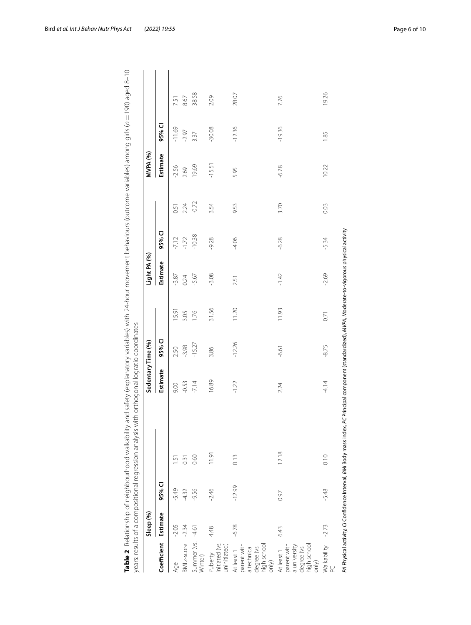|                                                                                          | Sleep (%) |          |                                                                    | Sedentary Time (%)                                                                  |          |       | Light PA (%) |          |         | MVPA (%) |          |       |
|------------------------------------------------------------------------------------------|-----------|----------|--------------------------------------------------------------------|-------------------------------------------------------------------------------------|----------|-------|--------------|----------|---------|----------|----------|-------|
| Coefficient                                                                              | Estimate  | 95% CI   |                                                                    | Estimate                                                                            | 95% CI   |       | Estimate     | 95% CI   |         | Estimate | 95% CI   |       |
| Age                                                                                      | $-2.05$   | $-5.49$  | LŊ.                                                                | 9.00                                                                                | 2.50     | 15.9  | $-3.87$      | $-7.12$  | 0.51    | $-2.56$  | $-11.69$ | 7.51  |
| BMI z-score                                                                              | $-2.34$   | $-4.32$  | 0.31                                                               | $-0.53$                                                                             | $-3.98$  | 3.05  | 0.24         | $-1.72$  | 2.24    | 2.69     | $-2.97$  | 8.67  |
| Summer (vs.<br>Winter)                                                                   | $-4.61$   | -9.56    | 0.60                                                               | $-7.14$                                                                             | $-15.27$ | 1.76  | -5.67        | $-10.38$ | $-0.72$ | 19.69    | 3.37     | 38.58 |
| nitiated (vs.<br>uninitiated)<br>Puberty                                                 | 4.48      | $-2.46$  | 11.91                                                              | 16.89                                                                               | 3.86     | 31.56 | $-3.08$      | $-9.28$  | 3.54    | $-15.51$ | $-30.08$ | 2.09  |
| degree (vs.<br>high school<br>only)<br>parent with<br>a technical<br>At least 1          | $-6.78$   | $-12.99$ | 0.13                                                               | $-1.22$                                                                             | $-12.26$ | 11.20 | 2.51         | $-4.06$  | 9.53    | 5.95     | $-12.36$ | 28.07 |
| degree (vs.<br>high school<br>parent with<br>a university<br>At least 1<br>$\sin \theta$ | 6.43      | 0.97     | 12.18                                                              | 2.24                                                                                | $-6.61$  | 11.93 | $-1.42$      | $-6.28$  | 3.70    | $-6.78$  | $-19.36$ | 7.76  |
| Walkability<br>pc                                                                        | $-2.73$   | $-5.48$  | 0.10                                                               | $-4.14$                                                                             | $-8.75$  | 0.71  | $-2.69$      | $-5.34$  | 0.03    | 10.22    | 1.85     | 19.26 |
|                                                                                          |           |          | PA Physical activity, C/ Confidence Interval, BMI Body mass index, | PC Principal component (standardized), MVPA, Moderate-to-vigorous physical activity |          |       |              |          |         |          |          |       |

<span id="page-5-0"></span>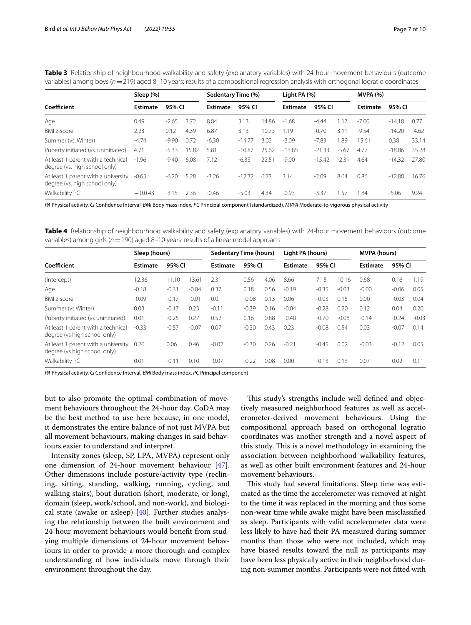<span id="page-6-0"></span>

| Table 3 Relationship of neighbourhood walkability and safety (explanatory variables) with 24-hour movement behaviours (outcome           |  |
|------------------------------------------------------------------------------------------------------------------------------------------|--|
| variables) among boys ( $n = 219$ ) aged 8–10 years: results of a compositional regression analysis with orthogonal logratio coordinates |  |

|                                                                      | Sleep (%)       |         |       | Sedentary Time (%) |          |       | Light PA $(%)$  |          |         | <b>MVPA (%)</b> |          |         |
|----------------------------------------------------------------------|-----------------|---------|-------|--------------------|----------|-------|-----------------|----------|---------|-----------------|----------|---------|
| Coefficient                                                          | <b>Estimate</b> | 95% CI  |       | <b>Estimate</b>    | 95% CI   |       | <b>Estimate</b> | 95% CI   |         | <b>Estimate</b> | 95% CI   |         |
| Age                                                                  | 0.49            | $-2.65$ | 3.72  | 8.84               | 3.13     | 14.86 | $-1.68$         | $-4.44$  | 1.17    | $-7.00$         | $-14.18$ | 0.77    |
| <b>BMI z-score</b>                                                   | 2.23            | 0.12    | 4.39  | 6.87               | 3.13     | 10.73 | 1.19            | $-0.70$  | 3.11    | $-9.54$         | $-14.20$ | $-4.62$ |
| Summer (vs. Winter)                                                  | $-4.74$         | $-9.90$ | 0.72  | $-6.30$            | $-14.77$ | 3.02  | $-3.09$         | $-7.83$  | 1.89    | 15.61           | 0.38     | 33.14   |
| Puberty initiated (vs. uninitiated)                                  | 4.71            | $-5.33$ | 15.82 | 5.81               | $-10.87$ | 25.62 | $-13.85$        | $-21.33$ | $-5.67$ | 4.77            | $-18.86$ | 35.28   |
| At least 1 parent with a technical<br>degree (vs. high school only)  | $-1.96$         | $-9.40$ | 6.08  | 7.12               | $-6.33$  | 22.51 | $-9.00$         | $-15.42$ | $-2.31$ | 4.64            | $-14.32$ | 27.80   |
| At least 1 parent with a university<br>degree (vs. high school only) | $-0.63$         | $-6.20$ | 5.28  | $-3.26$            | $-12.32$ | 6.73  | 3.14            | $-2.09$  | 8.64    | 0.86            | $-12.88$ | 16.76   |
| Walkability PC                                                       | $-0.0.43$       | $-3.15$ | 2.36  | $-0.46$            | $-5.03$  | 4.34  | $-0.93$         | $-3.37$  | . 57    | 1.84            | $-5.06$  | 9.24    |

*PA* Physical activity, *CI* Confdence Interval, *BMI* Body mass index, *PC* Principal component (standardized), *MVPA* Moderate-to-vigorous physical activity

<span id="page-6-1"></span>**Table 4** Relationship of neighbourhood walkability and safety (explanatory variables) with 24-hour movement behaviours (outcome variables) among girls (*n*=190) aged 8–10 years: results of a linear model approach

|                                                                     | Sleep (hours)   |         |               | <b>Sedentary Time (hours)</b> |         |      | Light PA (hours) |         |         | <b>MVPA (hours)</b> |         |         |
|---------------------------------------------------------------------|-----------------|---------|---------------|-------------------------------|---------|------|------------------|---------|---------|---------------------|---------|---------|
| Coefficient                                                         | <b>Estimate</b> | 95% CI  |               | <b>Estimate</b>               | 95% CI  |      | <b>Estimate</b>  | 95% CI  |         | <b>Estimate</b>     | 95% CI  |         |
| (Intercept)                                                         | 12.36           | 11.10   | $3.6^{\circ}$ | 2.31                          | 0.56    | 4.06 | 8.66             | 7.15    | 10.16   | 0.68                | 0.16    | 1.19    |
| Age                                                                 | $-0.18$         | $-0.31$ | $-0.04$       | 0.37                          | 0.18    | 0.56 | $-0.19$          | $-0.35$ | $-0.03$ | $-0.00$             | $-0.06$ | 0.05    |
| <b>BMI z-score</b>                                                  | $-0.09$         | $-0.17$ | $-0.01$       | 0.0.                          | $-0.08$ | 0.13 | 0.06             | $-0.03$ | 0.15    | 0.00                | $-0.03$ | 0.04    |
| Summer (vs Winter)                                                  | 0.03            | $-0.17$ | 0.23          | $-0.11$                       | $-0.39$ | 0.16 | $-0.04$          | $-0.28$ | 0.20    | 0.12                | 0.04    | 0.20    |
| Puberty initiated (vs uninitiated)                                  | 0.01            | $-0.25$ | 0.27          | 0.52                          | 0.16    | 0.88 | $-0.40$          | $-0.70$ | $-0.08$ | $-0.14$             | $-0.24$ | $-0.03$ |
| At least 1 parent with a technical<br>degree (vs high school only)  | $-0.33$         | $-0.57$ | $-0.07$       | 0.07                          | $-0.30$ | 0.43 | 0.23             | $-0.08$ | 0.54    | 0.03                | $-0.07$ | 0.14    |
| At least 1 parent with a university<br>degree (vs high school only) | 0.26            | 0.06    | 0.46          | $-0.02$                       | $-0.30$ | 0.26 | $-0.21$          | $-0.45$ | 0.02    | $-0.03$             | $-0.12$ | 0.05    |
| Walkability PC                                                      | 0.01            | $-0.11$ | 0.10          | $-0.07$                       | $-0.22$ | 0.08 | 0.00             | $-0.13$ | 0.13    | 0.07                | 0.02    | 0.11    |

*PA* Physical activity, *CI* Confdence Interval, *BMI* Body mass index, *PC* Principal component

but to also promote the optimal combination of movement behaviours throughout the 24-hour day. CoDA may be the best method to use here because, in one model, it demonstrates the entire balance of not just MVPA but all movement behaviours, making changes in said behaviours easier to understand and interpret.

Intensity zones (sleep, SP, LPA, MVPA) represent only one dimension of 24-hour movement behaviour [\[47](#page-9-43)]. Other dimensions include posture/activity type (reclining, sitting, standing, walking, running, cycling, and walking stairs), bout duration (short, moderate, or long), domain (sleep, work/school, and non-work), and biological state (awake or asleep) [\[40](#page-9-36)]. Further studies analysing the relationship between the built environment and 24-hour movement behaviours would beneft from studying multiple dimensions of 24-hour movement behaviours in order to provide a more thorough and complex understanding of how individuals move through their environment throughout the day.

This study's strengths include well defined and objectively measured neighborhood features as well as accelerometer-derived movement behaviours. Using the compositional approach based on orthogonal logratio coordinates was another strength and a novel aspect of this study. This is a novel methodology in examining the association between neighborhood walkability features, as well as other built environment features and 24-hour movement behaviours.

This study had several limitations. Sleep time was estimated as the time the accelerometer was removed at night to the time it was replaced in the morning and thus some non-wear time while awake might have been misclassifed as sleep. Participants with valid accelerometer data were less likely to have had their PA measured during summer months than those who were not included, which may have biased results toward the null as participants may have been less physically active in their neighborhood during non-summer months. Participants were not ftted with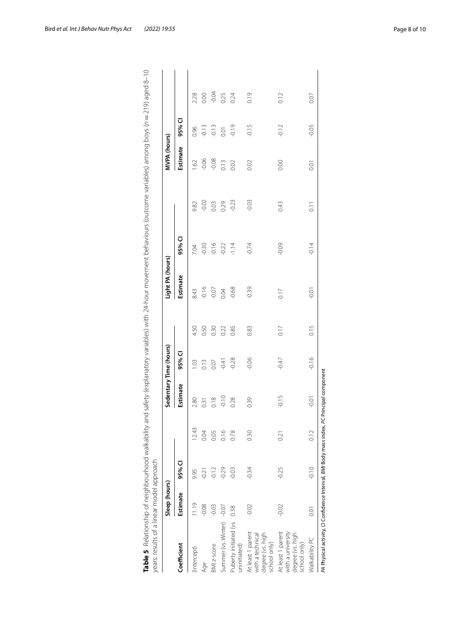| $-0.02$<br>$-0.03$<br>$-0.23$<br>0.29<br>0.03<br>0.43<br>9.82<br>95% CI<br>$-0.16$<br>$-0.09$<br>$-0.30$<br>$-0.22$<br>$-1.14$<br>$-0.74$<br>7.04<br>Estimate<br>$-0.16$<br>$-0.39$<br>$-0.68$<br>$-0.07$<br>0.17<br>8.43<br>0.04<br>0.50<br>4.50<br>0.30<br>0.22<br>0.85<br>0.17<br>0.83<br>95% CI<br>$-0.06$<br>$-0.47$<br>$-0.28$<br>0.13<br>$-0.41$<br>1.03<br>0.07<br>Estimate<br>$-0.15$<br>$-0.10$<br>0.18<br>0.28<br>0.39<br>2.80<br>0.31<br>12.43<br>0.16<br>0.78<br>0.30<br>0.05<br>0.04<br>0.21<br>95% CI<br>$-0.25$<br>$-0.12$<br>$-0.29$<br>$-0.34$<br>$-0.03$<br>$-0.21$<br>9.95<br>Estimate<br>1.19<br>$-0.08$<br>$-0.03$<br>Summer (vs. Winter) -0.07<br>$-0.02$<br>$-0.02$<br>0.38<br>Puberty initiated (vs.<br>At least 1 parent<br>At least 1 parent<br>with a university<br>degree (vs. high<br>degree (vs. high<br>with a technical<br>school only)<br>school only)<br>Coefficient<br>BMI z-score<br>uninitiated)<br>Intercept)<br>Age | Light PA (hours) |                    | MVPA (hours) |         |         |
|-------------------------------------------------------------------------------------------------------------------------------------------------------------------------------------------------------------------------------------------------------------------------------------------------------------------------------------------------------------------------------------------------------------------------------------------------------------------------------------------------------------------------------------------------------------------------------------------------------------------------------------------------------------------------------------------------------------------------------------------------------------------------------------------------------------------------------------------------------------------------------------------------------------------------------------------------------------|------------------|--------------------|--------------|---------|---------|
|                                                                                                                                                                                                                                                                                                                                                                                                                                                                                                                                                                                                                                                                                                                                                                                                                                                                                                                                                             |                  |                    | Estimate     | 95% CI  |         |
|                                                                                                                                                                                                                                                                                                                                                                                                                                                                                                                                                                                                                                                                                                                                                                                                                                                                                                                                                             |                  |                    | .62          | 0.96    | 2.28    |
|                                                                                                                                                                                                                                                                                                                                                                                                                                                                                                                                                                                                                                                                                                                                                                                                                                                                                                                                                             |                  |                    | $-0.06$      | $-0.13$ | 0.00    |
|                                                                                                                                                                                                                                                                                                                                                                                                                                                                                                                                                                                                                                                                                                                                                                                                                                                                                                                                                             |                  |                    | $-0.08$      | $-0.13$ | $-0.04$ |
|                                                                                                                                                                                                                                                                                                                                                                                                                                                                                                                                                                                                                                                                                                                                                                                                                                                                                                                                                             |                  |                    | 0.13         | 0.01    | 0.25    |
|                                                                                                                                                                                                                                                                                                                                                                                                                                                                                                                                                                                                                                                                                                                                                                                                                                                                                                                                                             |                  |                    | 0.02         | $-0.19$ | 0.24    |
|                                                                                                                                                                                                                                                                                                                                                                                                                                                                                                                                                                                                                                                                                                                                                                                                                                                                                                                                                             |                  |                    | 0.02         | $-0.15$ | 0.19    |
|                                                                                                                                                                                                                                                                                                                                                                                                                                                                                                                                                                                                                                                                                                                                                                                                                                                                                                                                                             |                  |                    | 0.00         | $-0.12$ | 0.12    |
| $-0.14$<br>0.15<br>$-0.16$<br>$-0.01$<br>0.12<br>$-0.10$<br>0.01<br>Walkability PC                                                                                                                                                                                                                                                                                                                                                                                                                                                                                                                                                                                                                                                                                                                                                                                                                                                                          | $-0.01$          | $\overline{0}$ .11 | 0.01         | $-0.05$ | 0.07    |

<span id="page-7-0"></span>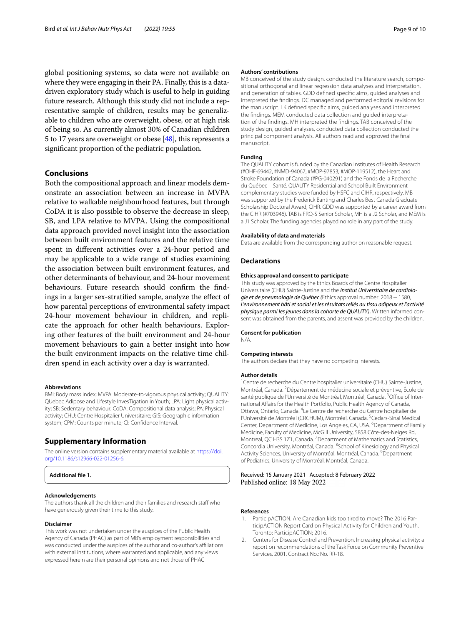global positioning systems, so data were not available on where they were engaging in their PA. Finally, this is a datadriven exploratory study which is useful to help in guiding future research. Although this study did not include a representative sample of children, results may be generalizable to children who are overweight, obese, or at high risk of being so. As currently almost 30% of Canadian children 5 to 17 years are overweight or obese [[48](#page-9-44)], this represents a signifcant proportion of the pediatric population.

# **Conclusions**

Both the compositional approach and linear models demonstrate an association between an increase in MVPA relative to walkable neighbourhood features, but through CoDA it is also possible to observe the decrease in sleep, SB, and LPA relative to MVPA. Using the compositional data approach provided novel insight into the association between built environment features and the relative time spent in diferent activities over a 24-hour period and may be applicable to a wide range of studies examining the association between built environment features, and other determinants of behaviour, and 24-hour movement behaviours. Future research should confrm the fndings in a larger sex-stratifed sample, analyze the efect of how parental perceptions of environmental safety impact 24-hour movement behaviour in children, and replicate the approach for other health behaviours. Exploring other features of the built environment and 24-hour movement behaviours to gain a better insight into how the built environment impacts on the relative time children spend in each activity over a day is warranted.

#### **Abbreviations**

BMI: Body mass index; MVPA: Moderate-to-vigorous physical activity; QUALITY: QUebec Adipose and Lifestyle InvesTigation in Youth; LPA: Light physical activity; SB: Sedentary behaviour; CoDA: Compositional data analysis; PA: Physical activity; CHU: Centre Hospitalier Universitaire; GIS: Geographic information system; CPM: Counts per minute; CI: Confdence Interval.

#### **Supplementary Information**

The online version contains supplementary material available at [https://doi.](https://doi.org/10.1186/s12966-022-01256-6) [org/10.1186/s12966-022-01256-6](https://doi.org/10.1186/s12966-022-01256-6).



#### **Acknowledgements**

The authors thank all the children and their families and research staf who have generously given their time to this study.

#### **Disclaimer**

This work was not undertaken under the auspices of the Public Health Agency of Canada (PHAC) as part of MB's employment responsibilities and was conducted under the auspices of the author and co-author's afliations with external institutions, where warranted and applicable, and any views expressed herein are their personal opinions and not those of PHAC

#### **Authors' contributions**

MB conceived of the study design, conducted the literature search, compositional orthogonal and linear regression data analyses and interpretation, and generation of tables. GDD defned specifc aims, guided analyses and interpreted the fndings. DC managed and performed editorial revisions for the manuscript. LK defned specifc aims, guided analyses and interpreted the findings. MEM conducted data collection and quided interpretation of the fndings. MH interpreted the fndings. TAB conceived of the study design, guided analyses, conducted data collection conducted the principal component analysis. All authors read and approved the fnal manuscript.

#### **Funding**

The QUALITY cohort is funded by the Canadian Institutes of Health Research (#OHF-69442, #NMD-94067, #MOP-97853, #MOP-119512), the Heart and Stroke Foundation of Canada (#PG-040291) and the Fonds de la Recherche du Québec – Santé. QUALITY Residential and School Built Environment complementary studies were funded by HSFC and CIHR, respectively. MB was supported by the Frederick Banting and Charles Best Canada Graduate Scholarship Doctoral Award, CIHR. GDD was supported by a career award from the CIHR (#703946). TAB is FRQ-S Senior Scholar, MH is a J2 Scholar, and MEM is a J1 Scholar. The funding agencies played no role in any part of the study.

#### **Availability of data and materials**

Data are available from the corresponding author on reasonable request.

#### **Declarations**

#### **Ethics approval and consent to participate**

This study was approved by the Ethics Boards of the Centre Hospitalier Universitaire (CHU) Sainte-Justine and the *Institut Universitaire de cardiologie et de pneumologie de Québec (*Ethics approval number: 2018−1580, *L'environnement bâti et social et les résultats reliés au tissu adipeux et l'activité physique parmi les jeunes dans la cohorte de QUALITY).* Written informed con‑ sent was obtained from the parents, and assent was provided by the children.

#### **Consent for publication**

**Competing interests**

The authors declare that they have no competing interests.

#### **Author details**

N/A.

<sup>1</sup> Centre de recherche du Centre hospitalier universitaire (CHU) Sainte-Justine, Montréal, Canada.<sup>2</sup> Département de médecine sociale et préventive, École de santé publique de l'Université de Montréal, Montréal, Canada.<sup>3</sup>Office of International Afairs for the Health Portfolio, Public Health Agency of Canada, Ottawa, Ontario, Canada. <sup>4</sup> Le Centre de recherche du Centre hospitalier de l'Université de Montréal (CRCHUM), Montréal, Canada. <sup>5</sup> Cedars-Sinai Medical Center, Department of Medicine, Los Angeles, CA, USA. <sup>6</sup> Department of Family Medicine, Faculty of Medicine, McGill University, 5858 Côte‑des‑Neiges Rd, Montreal, QC H3S 1Z1, Canada. <sup>7</sup> Department of Mathematics and Statistics, Concordia University, Montréal, Canada. 8 School of Kinesiology and Physical Activity Sciences, University of Montréal, Montréal, Canada. <sup>9</sup> Department of Pediatrics, University of Montréal, Montréal, Canada.

# Received: 15 January 2021 Accepted: 8 February 2022 Published online: 18 May 2022

#### **References**

- <span id="page-8-0"></span>1. ParticipACTION. Are Canadian kids too tired to move? The 2016 ParticipACTION Report Card on Physical Activity for Children and Youth. Toronto: ParticipACTION; 2016.
- <span id="page-8-1"></span>2. Centers for Disease Control and Prevention. Increasing physical activity: a report on recommendations of the Task Force on Community Preventive Services. 2001. Contract No.: No. RR-18.